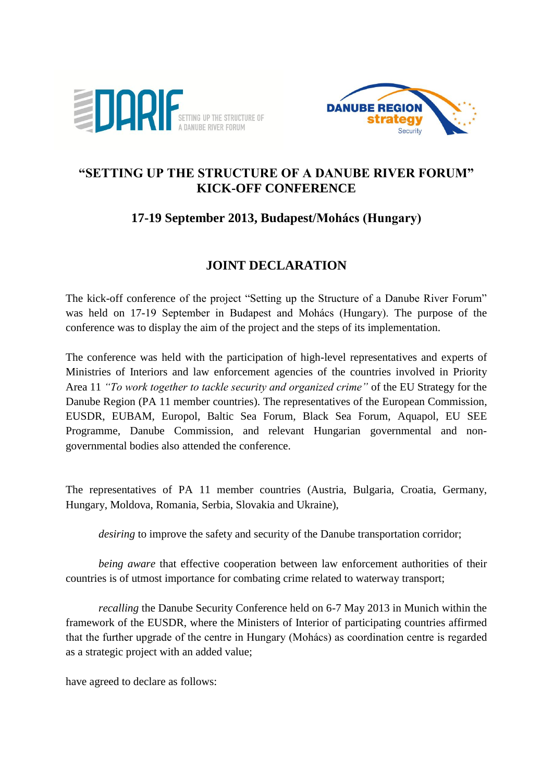



## **"SETTING UP THE STRUCTURE OF A DANUBE RIVER FORUM" KICK-OFF CONFERENCE**

## **17-19 September 2013, Budapest/Mohács (Hungary)**

## **JOINT DECLARATION**

The kick-off conference of the project "Setting up the Structure of a Danube River Forum" was held on 17-19 September in Budapest and Mohács (Hungary). The purpose of the conference was to display the aim of the project and the steps of its implementation.

The conference was held with the participation of high-level representatives and experts of Ministries of Interiors and law enforcement agencies of the countries involved in Priority Area 11 *"To work together to tackle security and organized crime"* of the EU Strategy for the Danube Region (PA 11 member countries). The representatives of the European Commission, EUSDR, EUBAM, Europol, Baltic Sea Forum, Black Sea Forum, Aquapol, EU SEE Programme, Danube Commission, and relevant Hungarian governmental and nongovernmental bodies also attended the conference.

The representatives of PA 11 member countries (Austria, Bulgaria, Croatia, Germany, Hungary, Moldova, Romania, Serbia, Slovakia and Ukraine),

*desiring* to improve the safety and security of the Danube transportation corridor;

*being aware* that effective cooperation between law enforcement authorities of their countries is of utmost importance for combating crime related to waterway transport;

*recalling* the Danube Security Conference held on 6-7 May 2013 in Munich within the framework of the EUSDR, where the Ministers of Interior of participating countries affirmed that the further upgrade of the centre in Hungary (Mohács) as coordination centre is regarded as a strategic project with an added value;

have agreed to declare as follows: